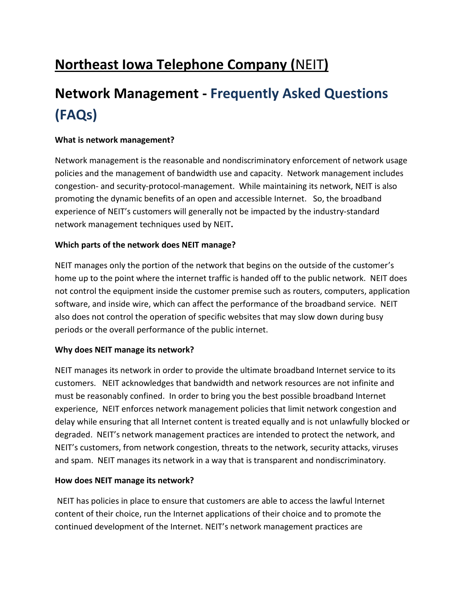# **Northeast Iowa Telephone Company (**NEIT**)**

# **Network Management - Frequently Asked Questions (FAQs)**

#### **What is network management?**

Network management is the reasonable and nondiscriminatory enforcement of network usage policies and the management of bandwidth use and capacity. Network management includes congestion- and security-protocol-management. While maintaining its network, NEIT is also promoting the dynamic benefits of an open and accessible Internet. So, the broadband experience of NEIT's customers will generally not be impacted by the industry-standard network management techniques used by NEIT**.**

#### **Which parts of the network does NEIT manage?**

NEIT manages only the portion of the network that begins on the outside of the customer's home up to the point where the internet traffic is handed off to the public network. NEIT does not control the equipment inside the customer premise such as routers, computers, application software, and inside wire, which can affect the performance of the broadband service. NEIT also does not control the operation of specific websites that may slow down during busy periods or the overall performance of the public internet.

#### **Why does NEIT manage its network?**

NEIT manages its network in order to provide the ultimate broadband Internet service to its customers. NEIT acknowledges that bandwidth and network resources are not infinite and must be reasonably confined. In order to bring you the best possible broadband Internet experience, NEIT enforces network management policies that limit network congestion and delay while ensuring that all Internet content is treated equally and is not unlawfully blocked or degraded. NEIT's network management practices are intended to protect the network, and NEIT's customers, from network congestion, threats to the network, security attacks, viruses and spam. NEIT manages its network in a way that is transparent and nondiscriminatory.

#### **How does NEIT manage its network?**

NEIT has policies in place to ensure that customers are able to access the lawful Internet content of their choice, run the Internet applications of their choice and to promote the continued development of the Internet. NEIT's network management practices are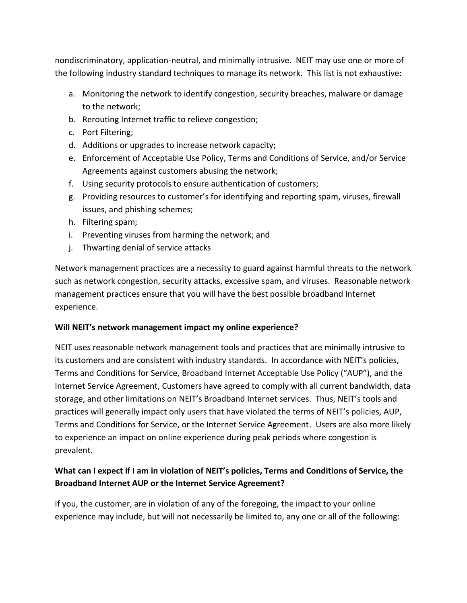nondiscriminatory, application-neutral, and minimally intrusive. NEIT may use one or more of the following industry standard techniques to manage its network. This list is not exhaustive:

- a. Monitoring the network to identify congestion, security breaches, malware or damage to the network;
- b. Rerouting Internet traffic to relieve congestion;
- c. Port Filtering;
- d. Additions or upgrades to increase network capacity;
- e. Enforcement of Acceptable Use Policy, Terms and Conditions of Service, and/or Service Agreements against customers abusing the network;
- f. Using security protocols to ensure authentication of customers;
- g. Providing resources to customer's for identifying and reporting spam, viruses, firewall issues, and phishing schemes;
- h. Filtering spam;
- i. Preventing viruses from harming the network; and
- j. Thwarting denial of service attacks

Network management practices are a necessity to guard against harmful threats to the network such as network congestion, security attacks, excessive spam, and viruses. Reasonable network management practices ensure that you will have the best possible broadband Internet experience.

#### **Will NEIT's network management impact my online experience?**

NEIT uses reasonable network management tools and practices that are minimally intrusive to its customers and are consistent with industry standards. In accordance with NEIT's policies, Terms and Conditions for Service, Broadband Internet Acceptable Use Policy ("AUP"), and the Internet Service Agreement, Customers have agreed to comply with all current bandwidth, data storage, and other limitations on NEIT's Broadband Internet services. Thus, NEIT's tools and practices will generally impact only users that have violated the terms of NEIT's policies, AUP, Terms and Conditions for Service, or the Internet Service Agreement. Users are also more likely to experience an impact on online experience during peak periods where congestion is prevalent.

## **What can I expect if I am in violation of NEIT's policies, Terms and Conditions of Service, the Broadband Internet AUP or the Internet Service Agreement?**

If you, the customer, are in violation of any of the foregoing, the impact to your online experience may include, but will not necessarily be limited to, any one or all of the following: